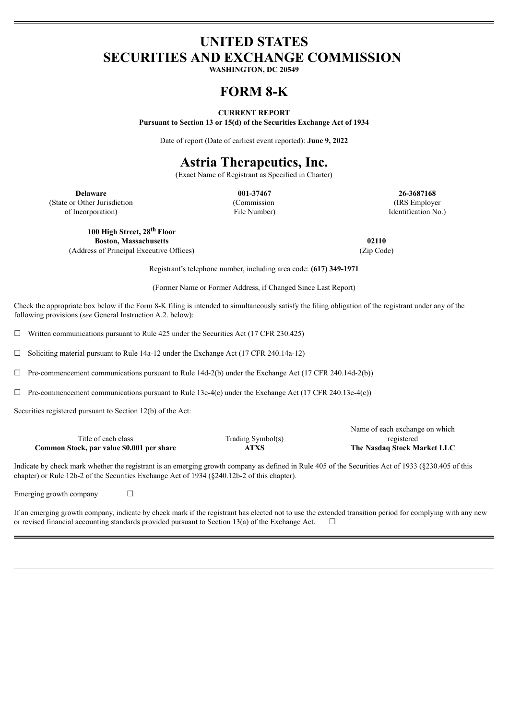### **UNITED STATES SECURITIES AND EXCHANGE COMMISSION**

**WASHINGTON, DC 20549**

# **FORM 8-K**

#### **CURRENT REPORT**

**Pursuant to Section 13 or 15(d) of the Securities Exchange Act of 1934**

Date of report (Date of earliest event reported): **June 9, 2022**

# **Astria Therapeutics, Inc.**

(Exact Name of Registrant as Specified in Charter)

**Delaware 001-37467 26-3687168** (State or Other Jurisdiction of Incorporation)

(Commission File Number)

(IRS Employer Identification No.)

Name of each exchange on which

**100 High Street, 28 th Floor Boston, Massachusetts 02110** (Address of Principal Executive Offices) (Zip Code)

Registrant's telephone number, including area code: **(617) 349-1971**

(Former Name or Former Address, if Changed Since Last Report)

Check the appropriate box below if the Form 8-K filing is intended to simultaneously satisfy the filing obligation of the registrant under any of the following provisions (*see* General Instruction A.2. below):

 $\Box$  Written communications pursuant to Rule 425 under the Securities Act (17 CFR 230.425)

☐ Soliciting material pursuant to Rule 14a-12 under the Exchange Act (17 CFR 240.14a-12)

 $\Box$  Pre-commencement communications pursuant to Rule 14d-2(b) under the Exchange Act (17 CFR 240.14d-2(b))

 $\Box$  Pre-commencement communications pursuant to Rule 13e-4(c) under the Exchange Act (17 CFR 240.13e-4(c))

Securities registered pursuant to Section 12(b) of the Act:

|                                           |                   | <b>INALITY OF CACIL CACHAILSE OIL WILLOT</b> |
|-------------------------------------------|-------------------|----------------------------------------------|
| Title of each class                       | Trading Symbol(s) | registered                                   |
| Common Stock, par value \$0.001 per share | <b>ATXS</b>       | The Nasdaq Stock Market LLC                  |

Indicate by check mark whether the registrant is an emerging growth company as defined in Rule 405 of the Securities Act of 1933 (§230.405 of this chapter) or Rule 12b-2 of the Securities Exchange Act of 1934 (§240.12b-2 of this chapter).

Emerging growth company  $\Box$ 

If an emerging growth company, indicate by check mark if the registrant has elected not to use the extended transition period for complying with any new or revised financial accounting standards provided pursuant to Section 13(a) of the Exchange Act.  $\Box$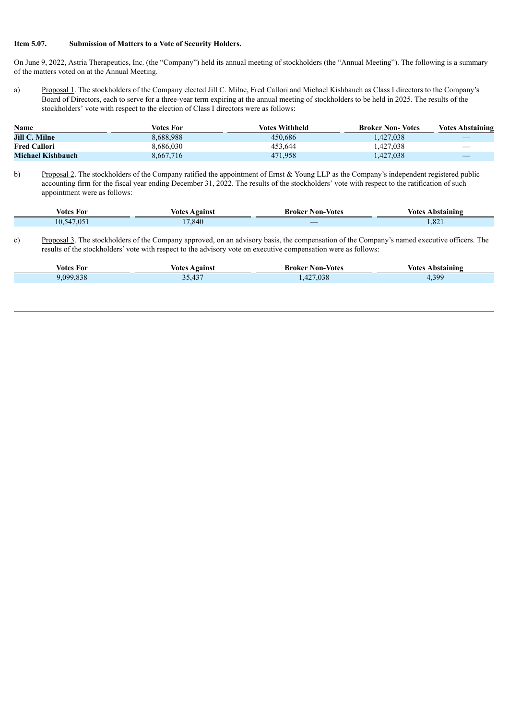#### **Item 5.07. Submission of Matters to a Vote of Security Holders.**

On June 9, 2022, Astria Therapeutics, Inc. (the "Company") held its annual meeting of stockholders (the "Annual Meeting"). The following is a summary of the matters voted on at the Annual Meeting.

a) Proposal 1. The stockholders of the Company elected Jill C. Milne, Fred Callori and Michael Kishbauch as Class I directors to the Company's Board of Directors, each to serve for a three-year term expiring at the annual meeting of stockholders to be held in 2025. The results of the stockholders' vote with respect to the election of Class I directors were as follows:

| Name                 | Votes For | Votes Withheld | <b>Broker Non-Votes</b> | <b>Votes Abstaining</b>         |
|----------------------|-----------|----------------|-------------------------|---------------------------------|
| <b>Jill C. Milne</b> | 8,688,988 | 450.686        | 1.427.038               |                                 |
| <b>Fred Callori</b>  | 8,686,030 | 453.644        | 1.427.038               |                                 |
| Michael Kishbauch    | 8,667,716 | 471.958        | 427,038                 | $\hspace{0.1mm}-\hspace{0.1mm}$ |

b) Proposal 2. The stockholders of the Company ratified the appointment of Ernst & Young LLP as the Company's independent registered public accounting firm for the fiscal year ending December 31, 2022. The results of the stockholders' vote with respect to the ratification of such appointment were as follows:

| Votes For                                              | √otes   | -Broker Non-                                       | votes                |
|--------------------------------------------------------|---------|----------------------------------------------------|----------------------|
|                                                        | Against | -Votes                                             | Abstaining           |
| 1700<br>$\sim$<br>$\Delta$<br>LU. <sub>2</sub><br>.U.) | 17.840  | $\overline{\phantom{a}}$<br><b>Service Service</b> | $\Omega$<br>$1,04$ . |

c) Proposal 3. The stockholders of the Company approved, on an advisory basis, the compensation of the Company's named executive officers. The results of the stockholders' vote with respect to the advisory vote on executive compensation were as follows:

| Votes For | Against                | Broker                          | votes         |
|-----------|------------------------|---------------------------------|---------------|
|           | votes                  | Non-Votes                       | Abstaining    |
| 099       | $\sim$<br><u>JJ.IJ</u> | 020<br>$\sim$<br>7.038<br>$-12$ | 399<br>$\sim$ |